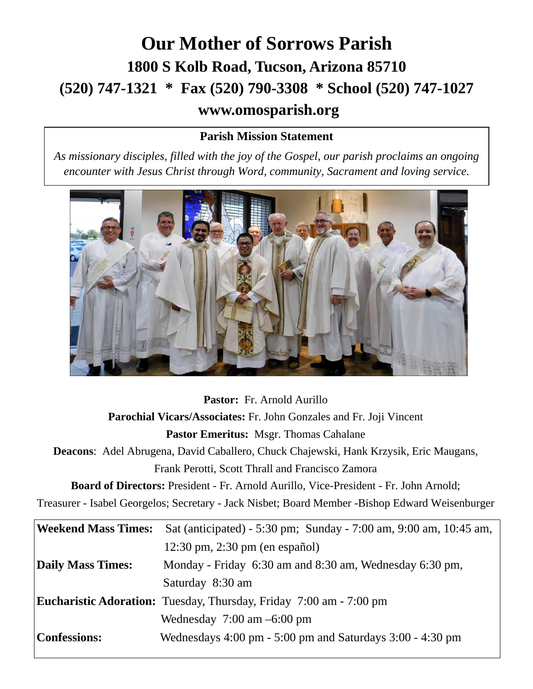# **Our Mother of Sorrows Parish 1800 S Kolb Road, Tucson, Arizona 85710 (520) 747-1321 \* Fax (520) 790-3308 \* School (520) 747-1027 www.omosparish.org**

### **Parish Mission Statement**

*As missionary disciples, filled with the joy of the Gospel, our parish proclaims an ongoing encounter with Jesus Christ through Word, community, Sacrament and loving service.* 



**Pastor:** Fr. Arnold Aurillo

**Parochial Vicars/Associates:** Fr. John Gonzales and Fr. Joji Vincent **Pastor Emeritus:** Msgr. Thomas Cahalane

**Deacons**: Adel Abrugena, David Caballero, Chuck Chajewski, Hank Krzysik, Eric Maugans, Frank Perotti, Scott Thrall and Francisco Zamora

**Board of Directors:** President - Fr. Arnold Aurillo, Vice-President - Fr. John Arnold;

Treasurer - Isabel Georgelos; Secretary - Jack Nisbet; Board Member -Bishop Edward Weisenburger

| <b>Weekend Mass Times:</b> | Sat (anticipated) - 5:30 pm; Sunday - 7:00 am, 9:00 am, 10:45 am,                     |
|----------------------------|---------------------------------------------------------------------------------------|
|                            | $12:30 \text{ pm}, 2:30 \text{ pm}$ (en español)                                      |
| Daily Mass Times:          | Monday - Friday 6:30 am and 8:30 am, Wednesday 6:30 pm,                               |
|                            | Saturday 8:30 am                                                                      |
|                            | <b>Eucharistic Adoration:</b> Tuesday, Thursday, Friday 7:00 am - 7:00 pm             |
|                            | Wednesday $7:00 \text{ am } -6:00 \text{ pm}$                                         |
| Confessions:               | Wednesdays $4:00 \text{ pm} - 5:00 \text{ pm}$ and Saturdays $3:00 - 4:30 \text{ pm}$ |
|                            |                                                                                       |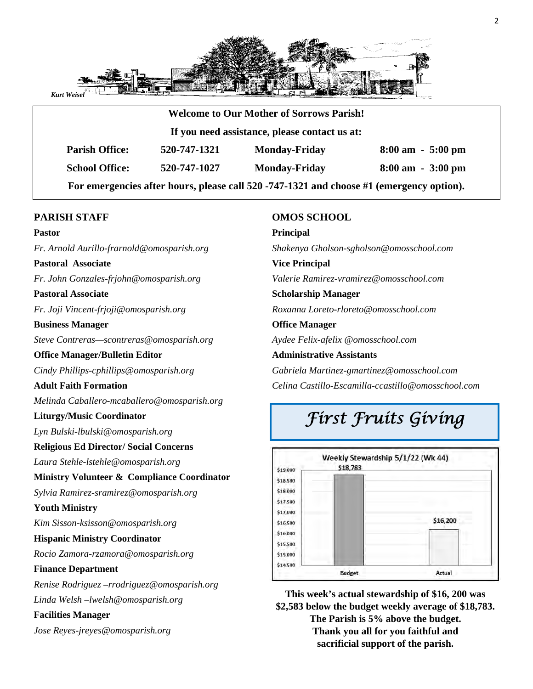

| If you need assistance, please contact us at: |                                                                                                                                          |
|-----------------------------------------------|------------------------------------------------------------------------------------------------------------------------------------------|
|                                               | $8:00 \text{ am } -5:00 \text{ pm}$                                                                                                      |
|                                               | $8:00 \text{ am } -3:00 \text{ pm}$                                                                                                      |
| 520-747-1321<br>520-747-1027                  | <b>Monday-Friday</b><br><b>Monday-Friday</b><br>For emergencies after hours, please call 520 -747-1321 and choose #1 (emergency option). |

### **PARISH STAFF**

#### **Pastor**

*Fr. Arnold Aurillo-frarnold@omosparish.org* 

### **Pastoral Associate**

*Fr. John Gonzales-frjohn@omosparish.org* 

**Pastoral Associate** 

*Fr. Joji Vincent-frjoji@omosparish.org*

### **Business Manager**

*Steve Contreras—scontreras@omosparish.org* 

### **Office Manager/Bulletin Editor**

*Cindy Phillips-cphillips@omosparish.org* 

#### **Adult Faith Formation**

*Melinda Caballero-mcaballero@omosparish.org* 

### **Liturgy/Music Coordinator**

*Lyn Bulski-lbulski@omosparish.org* 

### **Religious Ed Director/ Social Concerns**

*Laura Stehle-lstehle@omosparish.org*

### **Ministry Volunteer & Compliance Coordinator**

*Sylvia Ramirez-sramirez@omosparish.org*

### **Youth Ministry**

*Kim Sisson-ksisson@omosparish.org* 

### **Hispanic Ministry Coordinator**

*Rocio Zamora-rzamora@omosparish.org* 

### **Finance Department**

*Renise Rodriguez –rrodriguez@omosparish.org Linda Welsh –lwelsh@omosparish.org* 

### **Facilities Manager**

*Jose Reyes-jreyes@omosparish.org* 

### **OMOS SCHOOL**

**Principal** *Shakenya Gholson-sgholson@omosschool.com*  **Vice Principal** *Valerie Ramirez-vramirez@omosschool.com*  **Scholarship Manager** *Roxanna Loreto-rloreto@omosschool.com*  **Office Manager**  *Aydee Felix-afelix @omosschool.com*  **Administrative Assistants** *Gabriela Martinez-gmartinez@omosschool.com Celina Castillo-Escamilla-ccastillo@omosschool.com* 



**This week's actual stewardship of \$16, 200 was \$2,583 below the budget weekly average of \$18,783. The Parish is 5% above the budget. Thank you all for you faithful and sacrificial support of the parish.**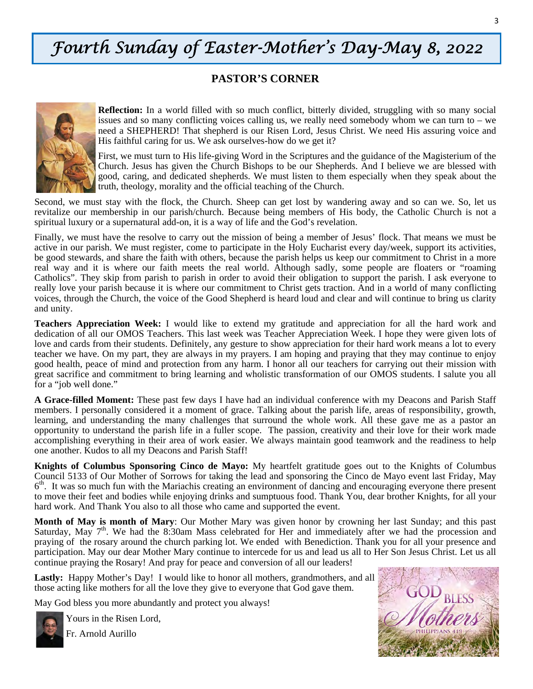# *Fourth Sunday of Easter-Mother's Day-May 8, 2022*

### **PASTOR'S CORNER**



**Reflection:** In a world filled with so much conflict, bitterly divided, struggling with so many social issues and so many conflicting voices calling us, we really need somebody whom we can turn to – we need a SHEPHERD! That shepherd is our Risen Lord, Jesus Christ. We need His assuring voice and His faithful caring for us. We ask ourselves-how do we get it?

First, we must turn to His life-giving Word in the Scriptures and the guidance of the Magisterium of the Church. Jesus has given the Church Bishops to be our Shepherds. And I believe we are blessed with good, caring, and dedicated shepherds. We must listen to them especially when they speak about the truth, theology, morality and the official teaching of the Church.

Second, we must stay with the flock, the Church. Sheep can get lost by wandering away and so can we. So, let us revitalize our membership in our parish/church. Because being members of His body, the Catholic Church is not a spiritual luxury or a supernatural add-on, it is a way of life and the God's revelation.

Finally, we must have the resolve to carry out the mission of being a member of Jesus' flock. That means we must be active in our parish. We must register, come to participate in the Holy Eucharist every day/week, support its activities, be good stewards, and share the faith with others, because the parish helps us keep our commitment to Christ in a more real way and it is where our faith meets the real world. Although sadly, some people are floaters or "roaming Catholics". They skip from parish to parish in order to avoid their obligation to support the parish. I ask everyone to really love your parish because it is where our commitment to Christ gets traction. And in a world of many conflicting voices, through the Church, the voice of the Good Shepherd is heard loud and clear and will continue to bring us clarity and unity.

**Teachers Appreciation Week:** I would like to extend my gratitude and appreciation for all the hard work and dedication of all our OMOS Teachers. This last week was Teacher Appreciation Week. I hope they were given lots of love and cards from their students. Definitely, any gesture to show appreciation for their hard work means a lot to every teacher we have. On my part, they are always in my prayers. I am hoping and praying that they may continue to enjoy good health, peace of mind and protection from any harm. I honor all our teachers for carrying out their mission with great sacrifice and commitment to bring learning and wholistic transformation of our OMOS students. I salute you all for a "job well done."

**A Grace-filled Moment:** These past few days I have had an individual conference with my Deacons and Parish Staff members. I personally considered it a moment of grace. Talking about the parish life, areas of responsibility, growth, learning, and understanding the many challenges that surround the whole work. All these gave me as a pastor an opportunity to understand the parish life in a fuller scope. The passion, creativity and their love for their work made accomplishing everything in their area of work easier. We always maintain good teamwork and the readiness to help one another. Kudos to all my Deacons and Parish Staff!

**Knights of Columbus Sponsoring Cinco de Mayo:** My heartfelt gratitude goes out to the Knights of Columbus Council 5133 of Our Mother of Sorrows for taking the lead and sponsoring the Cinco de Mayo event last Friday, May  $6<sup>th</sup>$ . It was so much fun with the Mariachis creating an environment of dancing and encouraging everyone there present to move their feet and bodies while enjoying drinks and sumptuous food. Thank You, dear brother Knights, for all your hard work. And Thank You also to all those who came and supported the event.

**Month of May is month of Mary**: Our Mother Mary was given honor by crowning her last Sunday; and this past Saturday, May  $7<sup>th</sup>$ . We had the 8:30am Mass celebrated for Her and immediately after we had the procession and praying of the rosary around the church parking lot. We ended with Benediction. Thank you for all your presence and participation. May our dear Mother Mary continue to intercede for us and lead us all to Her Son Jesus Christ. Let us all continue praying the Rosary! And pray for peace and conversion of all our leaders!

**Lastly:** Happy Mother's Day! I would like to honor all mothers, grandmothers, and all those acting like mothers for all the love they give to everyone that God gave them.

May God bless you more abundantly and protect you always!



Yours in the Risen Lord,

Fr. Arnold Aurillo

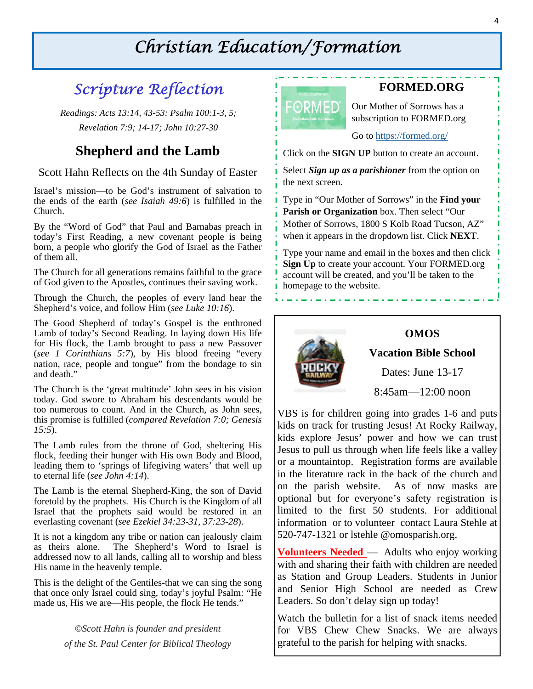# *Christian Education/Formation*

# *Scripture Reflection*

*Readings: Acts 13:14, 43-53: Psalm 100:1-3, 5; Revelation 7:9; 14-17; John 10:27-30* 

## **Shepherd and the Lamb**

Scott Hahn Reflects on the 4th Sunday of Easter

Israel's mission—to be God's instrument of salvation to the ends of the earth (*see Isaiah 49:6*) is fulfilled in the Church.

By the "Word of God" that Paul and Barnabas preach in today's First Reading, a new covenant people is being born, a people who glorify the God of Israel as the Father of them all.

The Church for all generations remains faithful to the grace of God given to the Apostles, continues their saving work.

Through the Church, the peoples of every land hear the Shepherd's voice, and follow Him (*see Luke 10:16*).

The Good Shepherd of today's Gospel is the enthroned Lamb of today's Second Reading. In laying down His life for His flock, the Lamb brought to pass a new Passover (*see 1 Corinthians 5:7*), by His blood freeing "every nation, race, people and tongue" from the bondage to sin and death."

The Church is the 'great multitude' John sees in his vision today. God swore to Abraham his descendants would be too numerous to count. And in the Church, as John sees, this promise is fulfilled (*compared Revelation 7:0; Genesis 15:5*).

The Lamb rules from the throne of God, sheltering His flock, feeding their hunger with His own Body and Blood, leading them to 'springs of lifegiving waters' that well up to eternal life (*see John 4:14*).

The Lamb is the eternal Shepherd-King, the son of David foretold by the prophets. His Church is the Kingdom of all Israel that the prophets said would be restored in an everlasting covenant (*see Ezekiel 34:23-31, 37:23-28*).

It is not a kingdom any tribe or nation can jealously claim as theirs alone. The Shepherd's Word to Israel is addressed now to all lands, calling all to worship and bless His name in the heavenly temple.

This is the delight of the Gentiles-that we can sing the song that once only Israel could sing, today's joyful Psalm: "He made us, His we are—His people, the flock He tends."

> *©Scott Hahn is founder and president of the St. Paul Center for Biblical Theology*



### **FORMED.ORG**

Our Mother of Sorrows has a subscription to FORMED.org

### Go to https://formed.org/

Click on the **SIGN UP** button to create an account.

Select *Sign up as a parishioner* from the option on the next screen.

Type in "Our Mother of Sorrows" in the **Find your Parish or Organization** box. Then select "Our Mother of Sorrows, 1800 S Kolb Road Tucson, AZ" when it appears in the dropdown list. Click **NEXT**.

Type your name and email in the boxes and then click **Sign Up** to create your account. Your FORMED.org account will be created, and you'll be taken to the homepage to the website.



### **OMOS**

**Vacation Bible School** 

Dates: June 13-17

8:45am—12:00 noon

VBS is for children going into grades 1-6 and puts kids on track for trusting Jesus! At Rocky Railway, kids explore Jesus' power and how we can trust Jesus to pull us through when life feels like a valley or a mountaintop. Registration forms are available in the literature rack in the back of the church and on the parish website. As of now masks are optional but for everyone's safety registration is limited to the first 50 students. For additional information or to volunteer contact Laura Stehle at 520-747-1321 or lstehle @omosparish.org.

**Volunteers Needed** — Adults who enjoy working with and sharing their faith with children are needed as Station and Group Leaders. Students in Junior and Senior High School are needed as Crew Leaders. So don't delay sign up today!

Watch the bulletin for a list of snack items needed for VBS Chew Chew Snacks. We are always grateful to the parish for helping with snacks.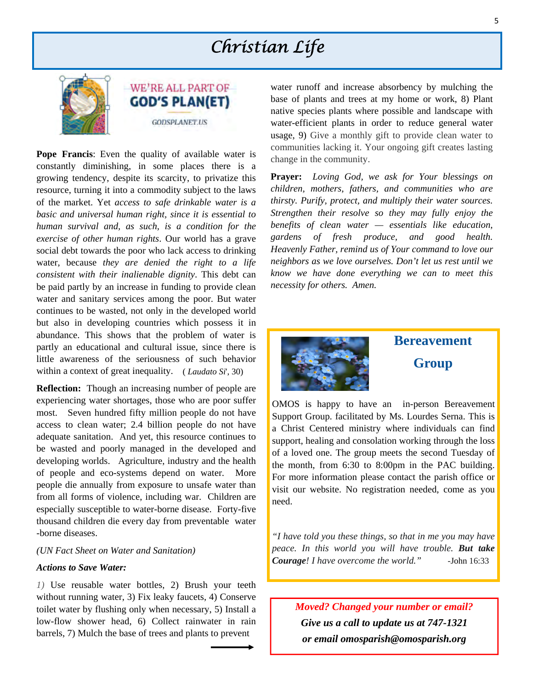# *Christian Life*





**Pope Francis**: Even the quality of available water is constantly diminishing, in some places there is a growing tendency, despite its scarcity, to privatize this resource, turning it into a commodity subject to the laws of the market. Yet *access to safe drinkable water is a basic and universal human right, since it is essential to human survival and, as such, is a condition for the exercise of other human rights*. Our world has a grave social debt towards the poor who lack access to drinking water, because *they are denied the right to a life consistent with their inalienable dignity*. This debt can be paid partly by an increase in funding to provide clean water and sanitary services among the poor. But water continues to be wasted, not only in the developed world but also in developing countries which possess it in abundance. This shows that the problem of water is partly an educational and cultural issue, since there is little awareness of the seriousness of such behavior within a context of great inequality. ( *Laudato Si*', 30)

**Reflection:** Though an increasing number of people are experiencing water shortages, those who are poor suffer most. Seven hundred fifty million people do not have access to clean water; 2.4 billion people do not have adequate sanitation. And yet, this resource continues to be wasted and poorly managed in the developed and developing worlds. Agriculture, industry and the health of people and eco-systems depend on water. More people die annually from exposure to unsafe water than from all forms of violence, including war. Children are especially susceptible to water-borne disease. Forty-five thousand children die every day from preventable water -borne diseases.

#### *(UN Fact Sheet on Water and Sanitation)*

#### *Actions to Save Water:*

*1)* Use reusable water bottles, 2) Brush your teeth without running water, 3) Fix leaky faucets, 4) Conserve toilet water by flushing only when necessary, 5) Install a low-flow shower head, 6) Collect rainwater in rain barrels, 7) Mulch the base of trees and plants to prevent

water runoff and increase absorbency by mulching the base of plants and trees at my home or work, 8) Plant native species plants where possible and landscape with water-efficient plants in order to reduce general water usage, 9) Give a monthly gift to provide clean water to communities lacking it. Your ongoing gift creates lasting change in the community.

**Prayer:** *Loving God, we ask for Your blessings on children, mothers, fathers, and communities who are thirsty. Purify, protect, and multiply their water sources. Strengthen their resolve so they may fully enjoy the benefits of clean water — essentials like education, gardens of fresh produce, and good health. Heavenly Father, remind us of Your command to love our neighbors as we love ourselves. Don't let us rest until we know we have done everything we can to meet this necessity for others. Amen.*



# **Bereavement Group**

OMOS is happy to have an in-person Bereavement Support Group. facilitated by Ms. Lourdes Serna. This is a Christ Centered ministry where individuals can find support, healing and consolation working through the loss of a loved one. The group meets the second Tuesday of the month, from 6:30 to 8:00pm in the PAC building. For more information please contact the parish office or visit our website. No registration needed, come as you need.

*"I have told you these things, so that in me you may have peace. In this world you will have trouble. But take Courage! I have overcome the world." -*John 16:33

> *Moved? Changed your number or email? Give us a call to update us at 747-1321 or email omosparish@omosparish.org*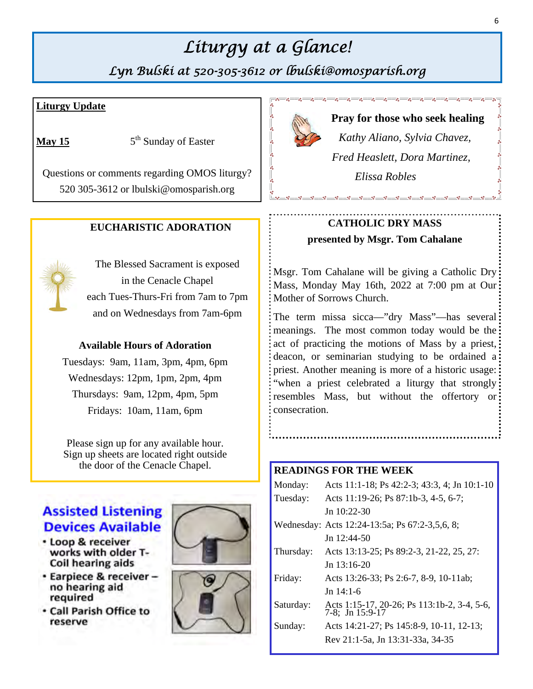# *Liturgy at a Glance!*

*Lyn Bulski at 520-305-3612 or lbulski@omosparish.org* 

 $\frac{3}{6}$ 

### **Liturgy Update**

**May 15**  $5^{\text{th}}$  Sunday of Easter

Questions or comments regarding OMOS liturgy? 520 305-3612 or lbulski@omosparish.org

### **EUCHARISTIC ADORATION**



The Blessed Sacrament is exposed in the Cenacle Chapel each Tues-Thurs-Fri from 7am to 7pm and on Wednesdays from 7am-6pm

### **Available Hours of Adoration**

Tuesdays: 9am, 11am, 3pm, 4pm, 6pm Wednesdays: 12pm, 1pm, 2pm, 4pm Thursdays: 9am, 12pm, 4pm, 5pm Fridays: 10am, 11am, 6pm

Please sign up for any available hour. Sign up sheets are located right outside the door of the Cenacle Chapel.

### **Assisted Listening Devices Available**

- · Loop & receiver works with older T-Coil hearing aids
- Earpiece & receiverno hearing aid required
- . Call Parish Office to reserve







 **Pray for those who seek healing**

*Kathy Aliano, Sylvia Chavez, Fred Heaslett, Dora Martinez, Elissa Robles*

### **CATHOLIC DRY MASS presented by Msgr. Tom Cahalane**

Msgr. Tom Cahalane will be giving a Catholic Dry Mass, Monday May 16th, 2022 at 7:00 pm at Our Mother of Sorrows Church.

The term missa sicca—"dry Mass"—has several meanings. The most common today would be the act of practicing the motions of Mass by a priest, deacon, or seminarian studying to be ordained a priest. Another meaning is more of a historic usage: "when a priest celebrated a liturgy that strongly resembles Mass, but without the offertory or consecration.

### **READINGS FOR THE WEEK**

| Monday:   | Acts 11:1-18; Ps 42:2-3; 43:3, 4; Jn 10:1-10                   |
|-----------|----------------------------------------------------------------|
| Tuesday:  | Acts 11:19-26; Ps 87:1b-3, 4-5, 6-7;                           |
|           | $\text{In } 10:22-30$                                          |
|           | Wednesday: Acts 12:24-13:5a; Ps 67:2-3,5,6, 8;                 |
|           | Jn $12:44-50$                                                  |
| Thursday: | Acts 13:13-25; Ps 89:2-3, 21-22, 25, 27:                       |
|           | $Jn$ 13:16-20                                                  |
| Friday:   | Acts 13:26-33; Ps 2:6-7, 8-9, 10-11ab;                         |
|           | $Jn$ 14:1-6                                                    |
| Saturday: | Acts 1:15-17, 20-26; Ps 113:1b-2, 3-4, 5-6,<br>7-8; Jn 15:9-17 |
| Sunday:   | Acts 14:21-27; Ps 145:8-9, 10-11, 12-13;                       |
|           | Rev 21:1-5a, Jn 13:31-33a, 34-35                               |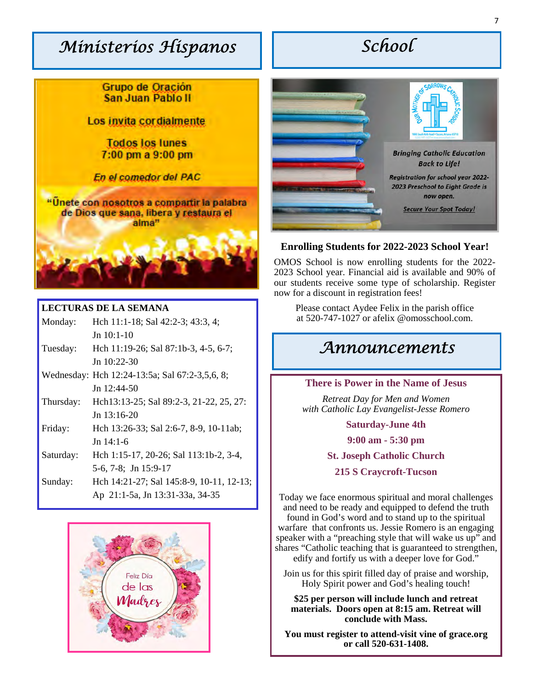# *Ministerios Hispanos*

Grupo de Oración San Juan Pablo II

Los invita cordialmente

**Todos los lunes** 7:00 pm a 9:00 pm

En el comedor del PAC

"Unete con nosotros a compartir la palabra de Dios que sana, libera y restaura el alma"

### **LECTURAS DE LA SEMANA**

| Monday:   | Hch 11:1-18; Sal 42:2-3; 43:3, 4;              |
|-----------|------------------------------------------------|
|           | $Jn$ 10:1-10                                   |
| Tuesday:  | Hch 11:19-26; Sal 87:1b-3, 4-5, 6-7;           |
|           | Jn 10:22-30                                    |
|           | Wednesday: Hch 12:24-13:5a; Sal 67:2-3,5,6, 8; |
|           | $\text{In } 12:44-50$                          |
| Thursday: | Hch13:13-25; Sal 89:2-3, 21-22, 25, 27:        |
|           | Jn $13:16-20$                                  |
| Friday:   | Hch 13:26-33; Sal 2:6-7, 8-9, 10-11ab;         |
|           | $Jn$ 14:1-6                                    |
| Saturday: | Hch 1:15-17, 20-26; Sal 113:1b-2, 3-4,         |
|           | 5-6, 7-8; Jn 15:9-17                           |
| Sunday:   | Hch 14:21-27; Sal 145:8-9, 10-11, 12-13;       |
|           | Ap 21:1-5a, Jn 13:31-33a, 34-35                |





*School* 

### **Enrolling Students for 2022-2023 School Year!**

OMOS School is now enrolling students for the 2022- 2023 School year. Financial aid is available and 90% of our students receive some type of scholarship. Register now for a discount in registration fees!

Please contact Aydee Felix in the parish office at 520-747-1027 or afelix @omosschool.com.

# *Announcements*

### **There is Power in the Name of Jesus**

*Retreat Day for Men and Women with Catholic Lay Evangelist-Jesse Romero* 

**Saturday-June 4th** 

**9:00 am - 5:30 pm** 

**St. Joseph Catholic Church** 

**215 S Craycroft-Tucson** 

Today we face enormous spiritual and moral challenges and need to be ready and equipped to defend the truth found in God's word and to stand up to the spiritual warfare that confronts us. Jessie Romero is an engaging speaker with a "preaching style that will wake us up" and shares "Catholic teaching that is guaranteed to strengthen, edify and fortify us with a deeper love for God."

Join us for this spirit filled day of praise and worship, Holy Spirit power and God's healing touch!

**\$25 per person will include lunch and retreat materials. Doors open at 8:15 am. Retreat will conclude with Mass.** 

**You must register to attend-visit vine of grace.org or call 520-631-1408.**